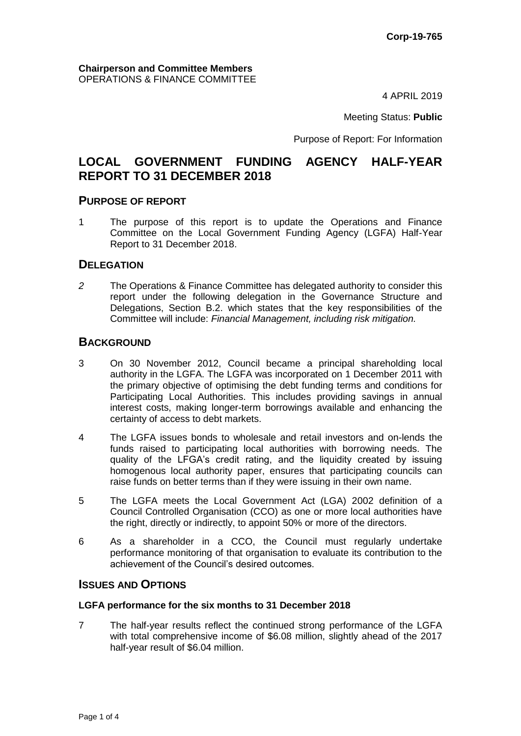4 APRIL 2019

Meeting Status: **Public**

Purpose of Report: For Information

# **LOCAL GOVERNMENT FUNDING AGENCY HALF-YEAR REPORT TO 31 DECEMBER 2018**

#### **PURPOSE OF REPORT**

1 The purpose of this report is to update the Operations and Finance Committee on the Local Government Funding Agency (LGFA) Half-Year Report to 31 December 2018.

#### **DELEGATION**

*2* The Operations & Finance Committee has delegated authority to consider this report under the following delegation in the Governance Structure and Delegations, Section B.2. which states that the key responsibilities of the Committee will include: *Financial Management, including risk mitigation.*

#### **BACKGROUND**

- 3 On 30 November 2012, Council became a principal shareholding local authority in the LGFA. The LGFA was incorporated on 1 December 2011 with the primary objective of optimising the debt funding terms and conditions for Participating Local Authorities. This includes providing savings in annual interest costs, making longer-term borrowings available and enhancing the certainty of access to debt markets.
- 4 The LGFA issues bonds to wholesale and retail investors and on-lends the funds raised to participating local authorities with borrowing needs. The quality of the LFGA's credit rating, and the liquidity created by issuing homogenous local authority paper, ensures that participating councils can raise funds on better terms than if they were issuing in their own name.
- 5 The LGFA meets the Local Government Act (LGA) 2002 definition of a Council Controlled Organisation (CCO) as one or more local authorities have the right, directly or indirectly, to appoint 50% or more of the directors.
- 6 As a shareholder in a CCO, the Council must regularly undertake performance monitoring of that organisation to evaluate its contribution to the achievement of the Council's desired outcomes.

#### **ISSUES AND OPTIONS**

#### **LGFA performance for the six months to 31 December 2018**

7 The half-year results reflect the continued strong performance of the LGFA with total comprehensive income of \$6.08 million, slightly ahead of the 2017 half-year result of \$6.04 million.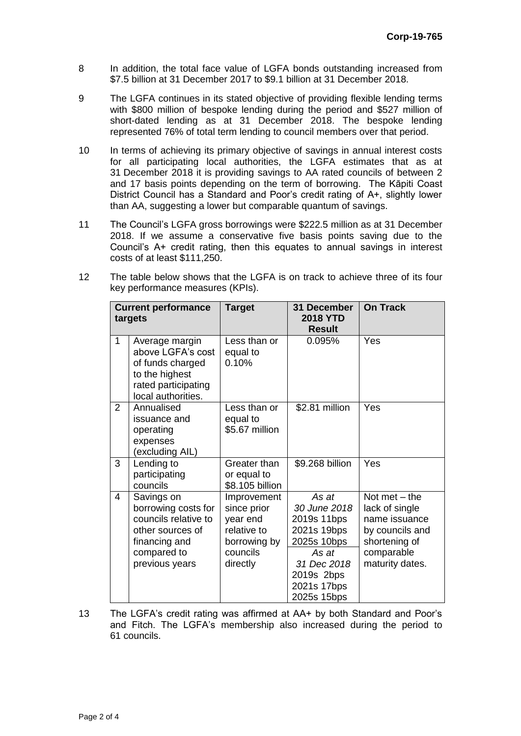- 8 In addition, the total face value of LGFA bonds outstanding increased from \$7.5 billion at 31 December 2017 to \$9.1 billion at 31 December 2018.
- 9 The LGFA continues in its stated objective of providing flexible lending terms with \$800 million of bespoke lending during the period and \$527 million of short-dated lending as at 31 December 2018. The bespoke lending represented 76% of total term lending to council members over that period.
- 10 In terms of achieving its primary objective of savings in annual interest costs for all participating local authorities, the LGFA estimates that as at 31 December 2018 it is providing savings to AA rated councils of between 2 and 17 basis points depending on the term of borrowing. The Kāpiti Coast District Council has a Standard and Poor's credit rating of A+, slightly lower than AA, suggesting a lower but comparable quantum of savings.
- 11 The Council's LGFA gross borrowings were \$222.5 million as at 31 December 2018. If we assume a conservative five basis points saving due to the Council's A+ credit rating, then this equates to annual savings in interest costs of at least \$111,250.
- 12 The table below shows that the LGFA is on track to achieve three of its four key performance measures (KPIs).

| <b>Current performance</b><br>targets |                                                                                                                                 | <b>Target</b>                                                                                 | 31 December<br><b>2018 YTD</b><br><b>Result</b>                                                                                        | <b>On Track</b>                                                                                                         |
|---------------------------------------|---------------------------------------------------------------------------------------------------------------------------------|-----------------------------------------------------------------------------------------------|----------------------------------------------------------------------------------------------------------------------------------------|-------------------------------------------------------------------------------------------------------------------------|
| $\mathbf{1}$                          | Average margin<br>above LGFA's cost<br>of funds charged<br>to the highest<br>rated participating<br>local authorities.          | Less than or<br>equal to<br>0.10%                                                             | 0.095%                                                                                                                                 | Yes                                                                                                                     |
| $\overline{2}$                        | Annualised<br>issuance and<br>operating<br>expenses<br>(excluding AIL)                                                          | Less than or<br>equal to<br>\$5.67 million                                                    | \$2.81 million                                                                                                                         | Yes                                                                                                                     |
| 3                                     | Lending to<br>participating<br>councils                                                                                         | Greater than<br>or equal to<br>\$8.105 billion                                                | \$9.268 billion                                                                                                                        | Yes                                                                                                                     |
| 4                                     | Savings on<br>borrowing costs for<br>councils relative to<br>other sources of<br>financing and<br>compared to<br>previous years | Improvement<br>since prior<br>year end<br>relative to<br>borrowing by<br>councils<br>directly | As at<br>30 June 2018<br>2019s 11bps<br>2021s 19bps<br>2025s 10bps<br>As at<br>31 Dec 2018<br>2019s 2bps<br>2021s 17bps<br>2025s 15bps | Not met $-$ the<br>lack of single<br>name issuance<br>by councils and<br>shortening of<br>comparable<br>maturity dates. |

13 The LGFA's credit rating was affirmed at AA+ by both Standard and Poor's and Fitch. The LGFA's membership also increased during the period to 61 councils.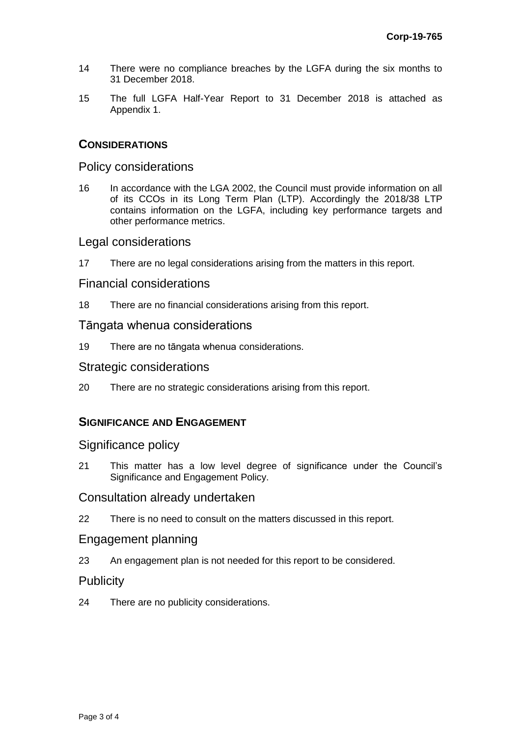- 14 There were no compliance breaches by the LGFA during the six months to 31 December 2018.
- 15 The full LGFA Half-Year Report to 31 December 2018 is attached as Appendix 1.

# **CONSIDERATIONS**

#### Policy considerations

16 In accordance with the LGA 2002, the Council must provide information on all of its CCOs in its Long Term Plan (LTP). Accordingly the 2018/38 LTP contains information on the LGFA, including key performance targets and other performance metrics.

# Legal considerations

17 There are no legal considerations arising from the matters in this report.

# Financial considerations

18 There are no financial considerations arising from this report.

#### Tāngata whenua considerations

19 There are no tāngata whenua considerations.

#### Strategic considerations

20 There are no strategic considerations arising from this report.

# **SIGNIFICANCE AND ENGAGEMENT**

# Significance policy

21 This matter has a low level degree of significance under the Council's Significance and Engagement Policy.

# Consultation already undertaken

22 There is no need to consult on the matters discussed in this report.

# Engagement planning

23 An engagement plan is not needed for this report to be considered.

# **Publicity**

24 There are no publicity considerations.